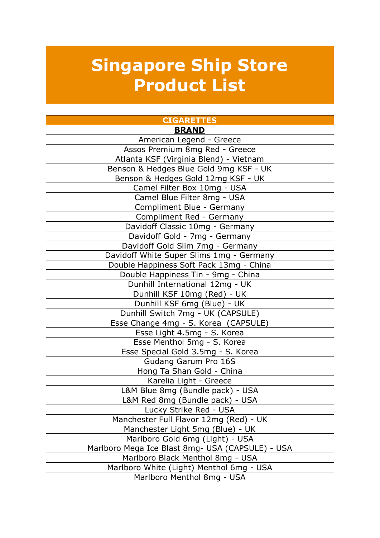# **Singapore Ship Store Product List**

| <b>CIGARETTES</b>                                |  |  |  |  |
|--------------------------------------------------|--|--|--|--|
| <b>BRAND</b>                                     |  |  |  |  |
| American Legend - Greece                         |  |  |  |  |
| Assos Premium 8mg Red - Greece                   |  |  |  |  |
| Atlanta KSF (Virginia Blend) - Vietnam           |  |  |  |  |
| Benson & Hedges Blue Gold 9mg KSF - UK           |  |  |  |  |
| Benson & Hedges Gold 12mg KSF - UK               |  |  |  |  |
| Camel Filter Box 10mg - USA                      |  |  |  |  |
| Camel Blue Filter 8mg - USA                      |  |  |  |  |
| Compliment Blue - Germany                        |  |  |  |  |
| Compliment Red - Germany                         |  |  |  |  |
| Davidoff Classic 10mg - Germany                  |  |  |  |  |
| Davidoff Gold - 7mg - Germany                    |  |  |  |  |
| Davidoff Gold Slim 7mg - Germany                 |  |  |  |  |
| Davidoff White Super Slims 1mg - Germany         |  |  |  |  |
| Double Happiness Soft Pack 13mg - China          |  |  |  |  |
| Double Happiness Tin - 9mg - China               |  |  |  |  |
| Dunhill International 12mg - UK                  |  |  |  |  |
| Dunhill KSF 10mg (Red) - UK                      |  |  |  |  |
| Dunhill KSF 6mg (Blue) - UK                      |  |  |  |  |
| Dunhill Switch 7mg - UK (CAPSULE)                |  |  |  |  |
| Esse Change 4mg - S. Korea (CAPSULE)             |  |  |  |  |
| Esse Light 4.5mg - S. Korea                      |  |  |  |  |
| Esse Menthol 5mg - S. Korea                      |  |  |  |  |
| Esse Special Gold 3.5mg - S. Korea               |  |  |  |  |
| Gudang Garum Pro 16S                             |  |  |  |  |
| Hong Ta Shan Gold - China                        |  |  |  |  |
| Karelia Light - Greece                           |  |  |  |  |
| L&M Blue 8mg (Bundle pack) - USA                 |  |  |  |  |
| L&M Red 8mg (Bundle pack) - USA                  |  |  |  |  |
| Lucky Strike Red - USA                           |  |  |  |  |
| Manchester Full Flavor 12mg (Red) - UK           |  |  |  |  |
| Manchester Light 5mg (Blue) - UK                 |  |  |  |  |
| Marlboro Gold 6mg (Light) - USA                  |  |  |  |  |
| Marlboro Mega Ice Blast 8mg- USA (CAPSULE) - USA |  |  |  |  |
| Marlboro Black Menthol 8mg - USA                 |  |  |  |  |
| Marlboro White (Light) Menthol 6mg - USA         |  |  |  |  |
| Marlboro Menthol 8mg - USA                       |  |  |  |  |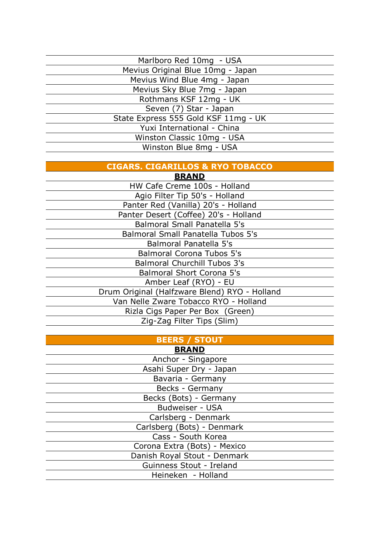| Marlboro Red 10mg - USA              |
|--------------------------------------|
| Mevius Original Blue 10mg - Japan    |
| Mevius Wind Blue 4mg - Japan         |
| Mevius Sky Blue 7mg - Japan          |
| Rothmans KSF 12mg - UK               |
| Seven (7) Star - Japan               |
| State Express 555 Gold KSF 11mg - UK |
| Yuxi International - China           |
| Winston Classic 10mg - USA           |
| Winston Blue 8mg - USA               |
|                                      |

#### **CIGARS. CIGARILLOS & RYO TOBACCO**

| <b>BRAND</b>                                  |
|-----------------------------------------------|
| HW Cafe Creme 100s - Holland                  |
| Agio Filter Tip 50's - Holland                |
| Panter Red (Vanilla) 20's - Holland           |
| Panter Desert (Coffee) 20's - Holland         |
| Balmoral Small Panatella 5's                  |
| <b>Balmoral Small Panatella Tubos 5's</b>     |
| Balmoral Panatella 5's                        |
| <b>Balmoral Corona Tubos 5's</b>              |
| <b>Balmoral Churchill Tubos 3's</b>           |
| <b>Balmoral Short Corona 5's</b>              |
| Amber Leaf (RYO) - EU                         |
| Drum Original (Halfzware Blend) RYO - Holland |
| Van Nelle Zware Tobacco RYO - Holland         |
| Rizla Cigs Paper Per Box (Green)              |
| Zig-Zag Filter Tips (Slim)                    |
|                                               |

#### **BEERS / STOUT BRAND**

| .                            |  |  |
|------------------------------|--|--|
| Anchor - Singapore           |  |  |
| Asahi Super Dry - Japan      |  |  |
| Bavaria - Germany            |  |  |
| Becks - Germany              |  |  |
| Becks (Bots) - Germany       |  |  |
| Budweiser - USA              |  |  |
| Carlsberg - Denmark          |  |  |
| Carlsberg (Bots) - Denmark   |  |  |
| Cass - South Korea           |  |  |
| Corona Extra (Bots) - Mexico |  |  |
| Danish Royal Stout - Denmark |  |  |
| Guinness Stout - Ireland     |  |  |
| Heineken - Holland           |  |  |
|                              |  |  |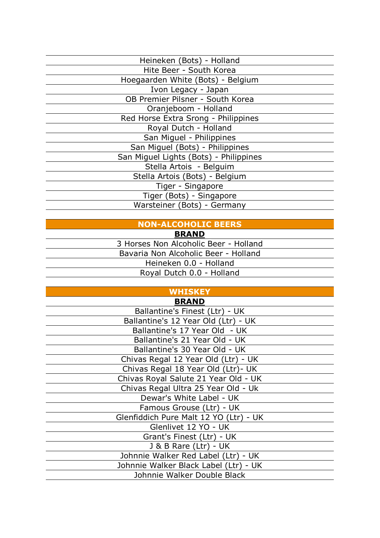| Heineken (Bots) - Holland              |  |  |  |
|----------------------------------------|--|--|--|
| Hite Beer - South Korea                |  |  |  |
| Hoegaarden White (Bots) - Belgium      |  |  |  |
| Ivon Legacy - Japan                    |  |  |  |
| OB Premier Pilsner - South Korea       |  |  |  |
| Oranjeboom - Holland                   |  |  |  |
| Red Horse Extra Srong - Philippines    |  |  |  |
| Royal Dutch - Holland                  |  |  |  |
| San Miguel - Philippines               |  |  |  |
| San Miguel (Bots) - Philippines        |  |  |  |
| San Miguel Lights (Bots) - Philippines |  |  |  |
| Stella Artois - Belguim                |  |  |  |
| Stella Artois (Bots) - Belgium         |  |  |  |
| Tiger - Singapore                      |  |  |  |
| Tiger (Bots) - Singapore               |  |  |  |
| Warsteiner (Bots) - Germany            |  |  |  |
|                                        |  |  |  |

# **NON-ALCOHOLIC BEERS**

#### **BRAND**

3 Horses Non Alcoholic Beer - Holland Bavaria Non Alcoholic Beer - Holland Heineken 0.0 - Holland Royal Dutch 0.0 - Holland

**WHISKEY**

| <b>BRAND</b>                           |
|----------------------------------------|
| Ballantine's Finest (Ltr) - UK         |
| Ballantine's 12 Year Old (Ltr) - UK    |
| Ballantine's 17 Year Old - UK          |
| Ballantine's 21 Year Old - UK          |
| Ballantine's 30 Year Old - UK          |
| Chivas Regal 12 Year Old (Ltr) - UK    |
| Chivas Regal 18 Year Old (Ltr) - UK    |
| Chivas Royal Salute 21 Year Old - UK   |
| Chivas Regal Ultra 25 Year Old - Uk    |
| Dewar's White Label - UK               |
| Famous Grouse (Ltr) - UK               |
| Glenfiddich Pure Malt 12 YO (Ltr) - UK |
| Glenlivet 12 YO - UK                   |
| Grant's Finest (Ltr) - UK              |
| J & B Rare (Ltr) - UK                  |
| Johnnie Walker Red Label (Ltr) - UK    |
| Johnnie Walker Black Label (Ltr) - UK  |
| Johnnie Walker Double Black            |
|                                        |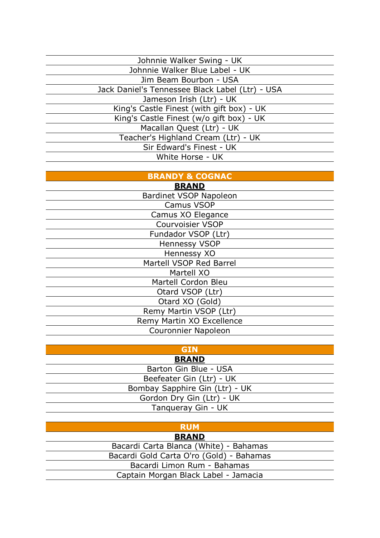| Johnnie Walker Swing - UK                       |
|-------------------------------------------------|
| Johnnie Walker Blue Label - UK                  |
| Jim Beam Bourbon - USA                          |
| Jack Daniel's Tennessee Black Label (Ltr) - USA |
| Jameson Irish (Ltr) - UK                        |
| King's Castle Finest (with gift box) - UK       |
| King's Castle Finest (w/o gift box) - UK        |
| Macallan Quest (Ltr) - UK                       |
| Teacher's Highland Cream (Ltr) - UK             |
| Sir Edward's Finest - UK                        |
| White Horse - UK                                |
|                                                 |

# **BRANDY & COGNAC**

| <b>BRAND</b>                  |
|-------------------------------|
| <b>Bardinet VSOP Napoleon</b> |
| <b>Camus VSOP</b>             |
| Camus XO Elegance             |
| <b>Courvoisier VSOP</b>       |
| Fundador VSOP (Ltr)           |
| Hennessy VSOP                 |
| Hennessy XO                   |
| Martell VSOP Red Barrel       |
| Martell XO                    |
| Martell Cordon Bleu           |
| Otard VSOP (Ltr)              |
| Otard XO (Gold)               |
| Remy Martin VSOP (Ltr)        |
| Remy Martin XO Excellence     |
| <b>Couronnier Napoleon</b>    |
|                               |

# **GIN**

**BRAND** Barton Gin Blue - USA Beefeater Gin (Ltr) - UK Bombay Sapphire Gin (Ltr) - UK Gordon Dry Gin (Ltr) - UK Tanqueray Gin - UK

# **RUM**

**BRAND** Bacardi Carta Blanca (White) - Bahamas Bacardi Gold Carta O'ro (Gold) - Bahamas Bacardi Limon Rum - Bahamas Captain Morgan Black Label - Jamacia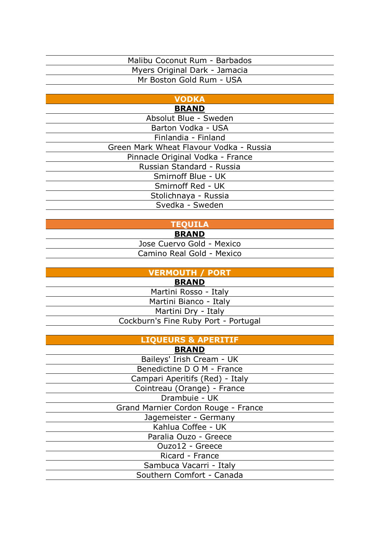## Malibu Coconut Rum - Barbados Myers Original Dark - Jamacia Mr Boston Gold Rum - USA

#### **VODKA BRAND**

| РІУЛІЧР                                 |
|-----------------------------------------|
| Absolut Blue - Sweden                   |
| Barton Vodka - USA                      |
| Finlandia - Finland                     |
| Green Mark Wheat Flavour Vodka - Russia |
| Pinnacle Original Vodka - France        |
| Russian Standard - Russia               |
| Smirnoff Blue - UK                      |
| Smirnoff Red - UK                       |
| Stolichnaya - Russia                    |
| Svedka - Sweden                         |
|                                         |

# **TEQUILA**

**BRAND**

Jose Cuervo Gold - Mexico Camino Real Gold - Mexico

| VERMOUTH / PORT                      |  |  |
|--------------------------------------|--|--|
| <b>BRAND</b>                         |  |  |
| Martini Rosso - Italy                |  |  |
| Martini Bianco - Italy               |  |  |
| Martini Dry - Italy                  |  |  |
| Cockburn's Fine Ruby Port - Portugal |  |  |

| <b>LIQUEURS &amp; APERITIF</b>      |  |  |  |
|-------------------------------------|--|--|--|
| <b>BRAND</b>                        |  |  |  |
| Baileys' Irish Cream - UK           |  |  |  |
| Benedictine D O M - France          |  |  |  |
| Campari Aperitifs (Red) - Italy     |  |  |  |
| Cointreau (Orange) - France         |  |  |  |
| Drambuie - UK                       |  |  |  |
| Grand Marnier Cordon Rouge - France |  |  |  |
| Jagemeister - Germany               |  |  |  |
| Kahlua Coffee - UK                  |  |  |  |
| Paralia Ouzo - Greece               |  |  |  |
| Ouzo12 - Greece                     |  |  |  |
| Ricard - France                     |  |  |  |
| Sambuca Vacarri - Italy             |  |  |  |
| Southern Comfort - Canada           |  |  |  |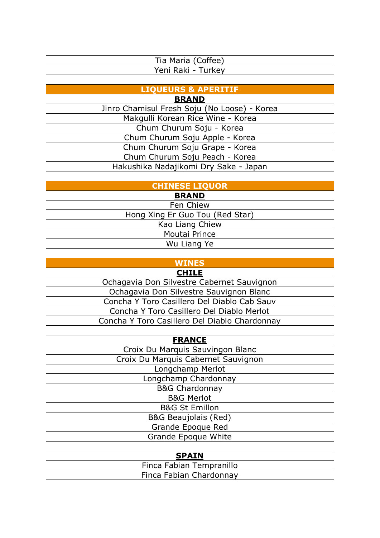| Tia Maria (Coffee) |  |
|--------------------|--|
| Yeni Raki - Turkey |  |

**LIQUEURS & APERITIF**

**BRAND**

Jinro Chamisul Fresh Soju (No Loose) - Korea Makgulli Korean Rice Wine - Korea Chum Churum Soju - Korea Chum Churum Soju Apple - Korea Chum Churum Soju Grape - Korea Chum Churum Soju Peach - Korea Hakushika Nadajikomi Dry Sake - Japan

**CHINESE LIQUOR**

**BRAND**

Fen Chiew Hong Xing Er Guo Tou (Red Star) Kao Liang Chiew Moutai Prince Wu Liang Ye

## **WINES**

**CHILE**

Ochagavia Don Silvestre Cabernet Sauvignon Ochagavia Don Silvestre Sauvignon Blanc Concha Y Toro Casillero Del Diablo Cab Sauv Concha Y Toro Casillero Del Diablo Merlot Concha Y Toro Casillero Del Diablo Chardonnay

**FRANCE** Croix Du Marquis Sauvingon Blanc Croix Du Marquis Cabernet Sauvignon Longchamp Merlot Longchamp Chardonnay B&G Chardonnay

> B&G Merlot B&G St Emillon B&G Beaujolais (Red) Grande Epoque Red Grande Epoque White

| <b>SPAIN</b>             |
|--------------------------|
| Finca Fabian Tempranillo |
| Finca Fabian Chardonnay  |
|                          |